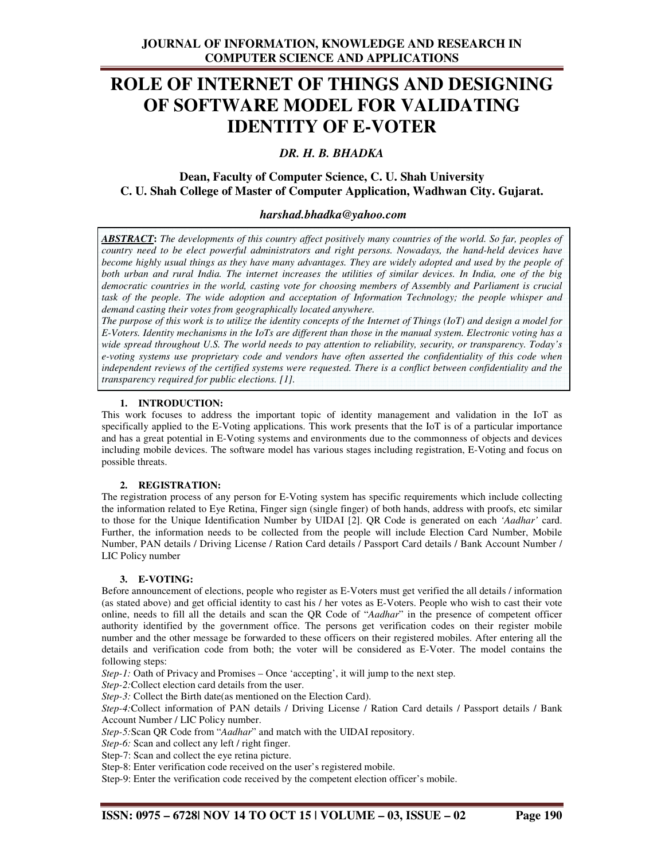# **ROLE OF INTERNET OF THINGS AND DESIGNING OF SOFTWARE MODEL FOR VALIDATING IDENTITY OF E-VOTER**

## *DR. H. B. BHADKA*

# **Dean, Faculty of Computer Science, C. U. Shah University C. U. Shah College of Master of Computer Application, Wadhwan City. Gujarat.**

#### *harshad.bhadka@yahoo.com*

*ABSTRACT***:** *The developments of this country affect positively many countries of the world. So far, peoples of country need to be elect powerful administrators and right persons. Nowadays, the hand-held devices have become highly usual things as they have many advantages. They are widely adopted and used by the people of both urban and rural India. The internet increases the utilities of similar devices. In India, one of the big democratic countries in the world, casting vote for choosing members of Assembly and Parliament is crucial task of the people. The wide adoption and acceptation of Information Technology; the people whisper and demand casting their votes from geographically located anywhere.* 

*The purpose of this work is to utilize the identity concepts of the Internet of Things (IoT) and design a model for E-Voters. Identity mechanisms in the IoTs are different than those in the manual system. Electronic voting has a wide spread throughout U.S. The world needs to pay attention to reliability, security, or transparency. Today's e-voting systems use proprietary code and vendors have often asserted the confidentiality of this code when independent reviews of the certified systems were requested. There is a conflict between confidentiality and the transparency required for public elections. [1].* 

#### **1. INTRODUCTION:**

This work focuses to address the important topic of identity management and validation in the IoT as specifically applied to the E-Voting applications. This work presents that the IoT is of a particular importance and has a great potential in E-Voting systems and environments due to the commonness of objects and devices including mobile devices. The software model has various stages including registration, E-Voting and focus on possible threats.

#### **2. REGISTRATION:**

The registration process of any person for E-Voting system has specific requirements which include collecting the information related to Eye Retina, Finger sign (single finger) of both hands, address with proofs, etc similar to those for the Unique Identification Number by UIDAI [2]. QR Code is generated on each *'Aadhar'* card. Further, the information needs to be collected from the people will include Election Card Number, Mobile Number, PAN details / Driving License / Ration Card details / Passport Card details / Bank Account Number / LIC Policy number

#### **3. E-VOTING:**

Before announcement of elections, people who register as E-Voters must get verified the all details / information (as stated above) and get official identity to cast his / her votes as E-Voters. People who wish to cast their vote online, needs to fill all the details and scan the QR Code of "*Aadhar*" in the presence of competent officer authority identified by the government office. The persons get verification codes on their register mobile number and the other message be forwarded to these officers on their registered mobiles. After entering all the details and verification code from both; the voter will be considered as E-Voter. The model contains the following steps:

*Step-1:* Oath of Privacy and Promises – Once 'accepting', it will jump to the next step.

*Step-2:*Collect election card details from the user.

*Step-3:* Collect the Birth date(as mentioned on the Election Card).

*Step-4:*Collect information of PAN details / Driving License / Ration Card details / Passport details / Bank Account Number / LIC Policy number.

*Step-5:*Scan QR Code from "*Aadhar*" and match with the UIDAI repository.

*Step-6:* Scan and collect any left / right finger.

Step-7: Scan and collect the eye retina picture.

Step-8: Enter verification code received on the user's registered mobile.

Step-9: Enter the verification code received by the competent election officer's mobile.